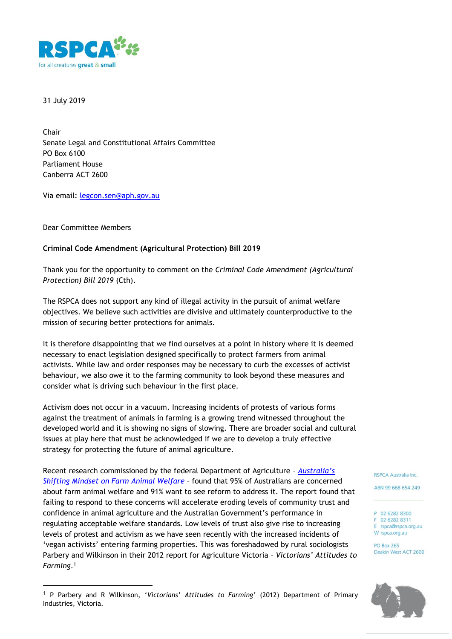

31 July 2019

Chair Senate Legal and Constitutional Affairs Committee PO Box 6100 Parliament House Canberra ACT 2600

Via email: [legcon.sen@aph.gov.au](mailto:legcon.sen@aph.gov.au)

Dear Committee Members

-

## **Criminal Code Amendment (Agricultural Protection) Bill 2019**

Thank you for the opportunity to comment on the *Criminal Code Amendment (Agricultural Protection) Bill 2019* (Cth).

The RSPCA does not support any kind of illegal activity in the pursuit of animal welfare objectives. We believe such activities are divisive and ultimately counterproductive to the mission of securing better protections for animals.

It is therefore disappointing that we find ourselves at a point in history where it is deemed necessary to enact legislation designed specifically to protect farmers from animal activists. While law and order responses may be necessary to curb the excesses of activist behaviour, we also owe it to the farming community to look beyond these measures and consider what is driving such behaviour in the first place.

Activism does not occur in a vacuum. Increasing incidents of protests of various forms against the treatment of animals in farming is a growing trend witnessed throughout the developed world and it is showing no signs of slowing. There are broader social and cultural issues at play here that must be acknowledged if we are to develop a truly effective strategy for protecting the future of animal agriculture.

Recent research commissioned by the federal Department of Agriculture – *[Australia's](http://www.agriculture.gov.au/SiteCollectionDocuments/animal/farm-animal-welfare.pdf)  [Shifting Mindset on Farm Animal Welfare](http://www.agriculture.gov.au/SiteCollectionDocuments/animal/farm-animal-welfare.pdf)* – found that 95% of Australians are concerned about farm animal welfare and 91% want to see reform to address it. The report found that failing to respond to these concerns will accelerate eroding levels of community trust and confidence in animal agriculture and the Australian Government's performance in regulating acceptable welfare standards. Low levels of trust also give rise to increasing levels of protest and activism as we have seen recently with the increased incidents of 'vegan activists' entering farming properties. This was foreshadowed by rural sociologists Parbery and Wilkinson in their 2012 report for Agriculture Victoria – *Victorians' Attitudes to Farming*. 1

RSPCA Australia Inc.

ABN 99 668 654 249

P 02 6282 8300 F 02 6282 8311 E rspca@rspca.org.au W rspca.org.au

**PO Box 265** Deakin West ACT 2600



<sup>1</sup> P Parbery and R Wilkinson, '*Victorians' Attitudes to Farming'* (2012) Department of Primary Industries, Victoria.